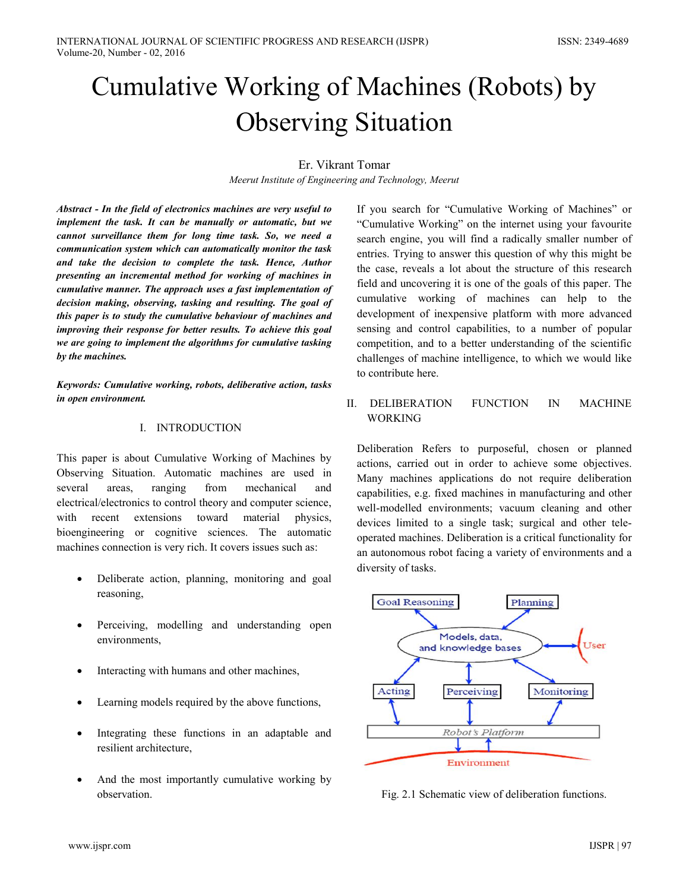# Cumulative Working of Machines (Robots) by **Observing Situation**

# Er. Vikrant Tomar

Meerut Institute of Engineering and Technology, Meerut

Abstract - In the field of electronics machines are very useful to implement the task. It can be manually or automatic, but we cannot surveillance them for long time task. So, we need a communication system which can automatically monitor the task and take the decision to complete the task. Hence, Author presenting an incremental method for working of machines in cumulative manner. The approach uses a fast implementation of decision making, observing, tasking and resulting. The goal of this paper is to study the cumulative behaviour of machines and improving their response for better results. To achieve this goal we are going to implement the algorithms for cumulative tasking by the machines.

Keywords: Cumulative working, robots, deliberative action, tasks in open environment.

## I. INTRODUCTION

This paper is about Cumulative Working of Machines by Observing Situation. Automatic machines are used in several areas, ranging from mechanical and electrical/electronics to control theory and computer science, with recent extensions toward material physics. bioengineering or cognitive sciences. The automatic machines connection is very rich. It covers issues such as:

- Deliberate action, planning, monitoring and goal  $\bullet$ reasoning,
- Perceiving, modelling and understanding open  $\bullet$ environments,
- Interacting with humans and other machines,  $\bullet$
- Learning models required by the above functions.  $\bullet$
- Integrating these functions in an adaptable and  $\bullet$ resilient architecture,
- $\bullet$ And the most importantly cumulative working by observation.

If you search for "Cumulative Working of Machines" or "Cumulative Working" on the internet using your favourite search engine, you will find a radically smaller number of entries. Trying to answer this question of why this might be the case, reveals a lot about the structure of this research field and uncovering it is one of the goals of this paper. The cumulative working of machines can help to the development of inexpensive platform with more advanced sensing and control capabilities, to a number of popular competition, and to a better understanding of the scientific challenges of machine intelligence, to which we would like to contribute here.

II. DELIBERATION **FUNCTION**  $IN$ **MACHINE WORKING** 

Deliberation Refers to purposeful, chosen or planned actions, carried out in order to achieve some objectives. Many machines applications do not require deliberation capabilities, e.g. fixed machines in manufacturing and other well-modelled environments; vacuum cleaning and other devices limited to a single task; surgical and other teleoperated machines. Deliberation is a critical functionality for an autonomous robot facing a variety of environments and a diversity of tasks.



Fig. 2.1 Schematic view of deliberation functions.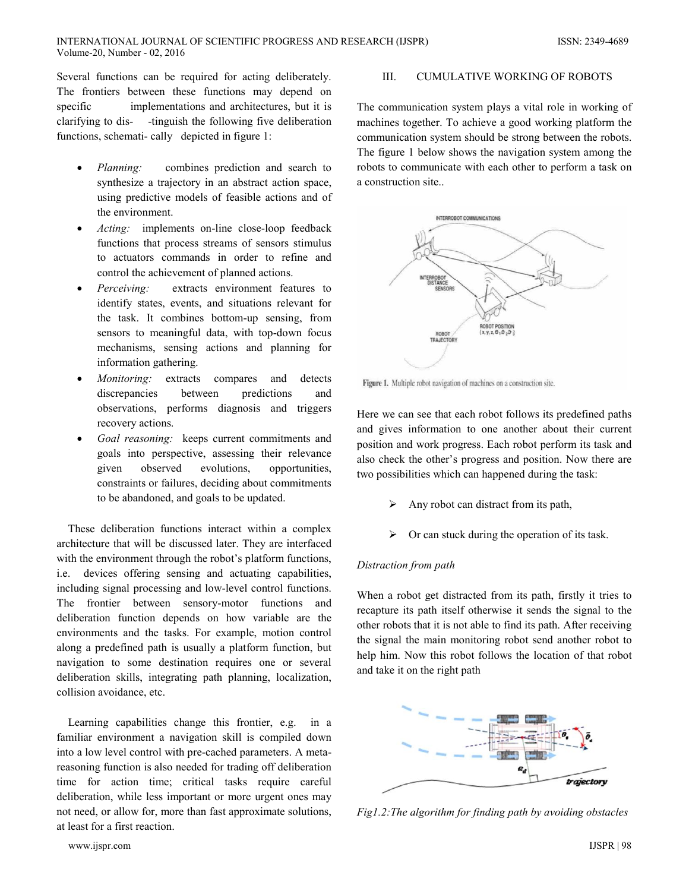Several functions can be required for acting deliberately. The frontiers between these functions may depend on specific implementations and architectures, but it is clarifying to dis--tinguish the following five deliberation functions, schemati-cally depicted in figure 1:

- Planning: combines prediction and search to synthesize a trajectory in an abstract action space, using predictive models of feasible actions and of the environment.
- Acting: implements on-line close-loop feedback functions that process streams of sensors stimulus to actuators commands in order to refine and control the achievement of planned actions.
- Perceiving: extracts environment features to identify states, events, and situations relevant for the task. It combines bottom-up sensing, from sensors to meaningful data, with top-down focus mechanisms, sensing actions and planning for information gathering.
- Monitoring: extracts compares and detects discrepancies between predictions and observations, performs diagnosis and triggers recovery actions.
- Goal reasoning: keeps current commitments and goals into perspective, assessing their relevance observed evolutions, given opportunities, constraints or failures, deciding about commitments to be abandoned, and goals to be updated.

These deliberation functions interact within a complex architecture that will be discussed later. They are interfaced with the environment through the robot's platform functions,  $i.e.$ devices offering sensing and actuating capabilities, including signal processing and low-level control functions. The frontier between sensory-motor functions and deliberation function depends on how variable are the environments and the tasks. For example, motion control along a predefined path is usually a platform function, but navigation to some destination requires one or several deliberation skills, integrating path planning, localization, collision avoidance, etc.

Learning capabilities change this frontier, e.g. in a familiar environment a navigation skill is compiled down into a low level control with pre-cached parameters. A metareasoning function is also needed for trading off deliberation time for action time; critical tasks require careful deliberation, while less important or more urgent ones may not need, or allow for, more than fast approximate solutions, at least for a first reaction

#### $III.$ **CUMULATIVE WORKING OF ROBOTS**

The communication system plays a vital role in working of machines together. To achieve a good working platform the communication system should be strong between the robots. The figure 1 below shows the navigation system among the robots to communicate with each other to perform a task on a construction site...



Figure 1. Multiple robot navigation of machines on a construction site.

Here we can see that each robot follows its predefined paths and gives information to one another about their current position and work progress. Each robot perform its task and also check the other's progress and position. Now there are two possibilities which can happened during the task:

- Any robot can distract from its path, ➤
- ≻ Or can stuck during the operation of its task.

## Distraction from path

When a robot get distracted from its path, firstly it tries to recapture its path itself otherwise it sends the signal to the other robots that it is not able to find its path. After receiving the signal the main monitoring robot send another robot to help him. Now this robot follows the location of that robot and take it on the right path



Fig1.2: The algorithm for finding path by avoiding obstacles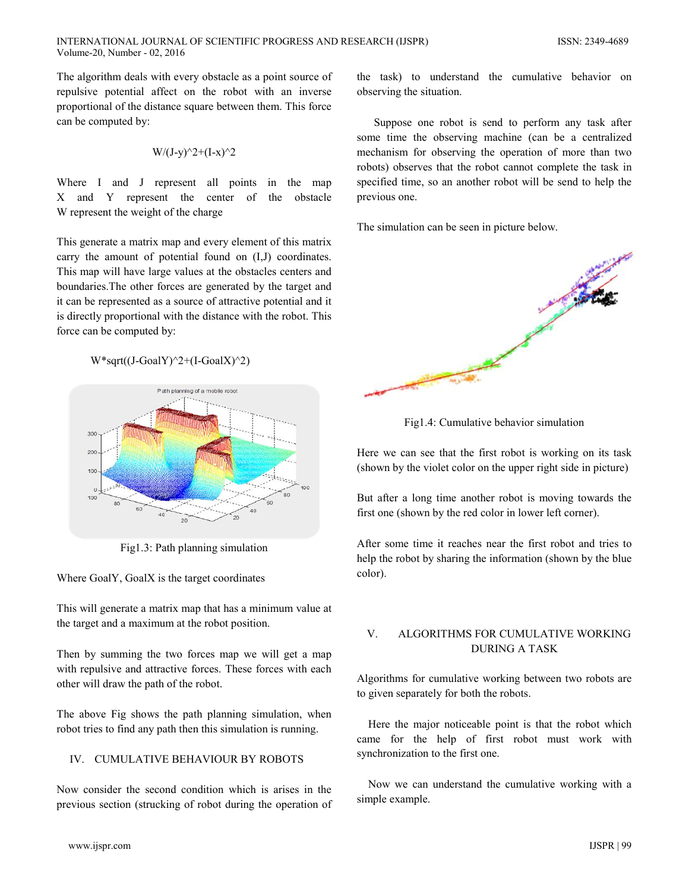The algorithm deals with every obstacle as a point source of repulsive potential affect on the robot with an inverse proportional of the distance square between them. This force can be computed by:

$$
W/(J-y)^{2}+(I-x)^{2}
$$

Where I and J represent all points in the map X and Y represent the center of the obstacle W represent the weight of the charge

This generate a matrix map and every element of this matrix carry the amount of potential found on (I,J) coordinates. This map will have large values at the obstacles centers and boundaries. The other forces are generated by the target and it can be represented as a source of attractive potential and it is directly proportional with the distance with the robot. This force can be computed by:

 $W*sqrt((J-GoalY)^2+(I-GoalX)^2)$ 



Fig1.3: Path planning simulation

Where GoalY, GoalX is the target coordinates

This will generate a matrix map that has a minimum value at the target and a maximum at the robot position.

Then by summing the two forces map we will get a map with repulsive and attractive forces. These forces with each other will draw the path of the robot.

The above Fig shows the path planning simulation, when robot tries to find any path then this simulation is running.

# IV. CUMULATIVE BEHAVIOUR BY ROBOTS

Now consider the second condition which is arises in the previous section (strucking of robot during the operation of

the task) to understand the cumulative behavior on observing the situation.

Suppose one robot is send to perform any task after some time the observing machine (can be a centralized mechanism for observing the operation of more than two robots) observes that the robot cannot complete the task in specified time, so an another robot will be send to help the previous one.

The simulation can be seen in picture below.



Fig1.4: Cumulative behavior simulation

Here we can see that the first robot is working on its task (shown by the violet color on the upper right side in picture)

But after a long time another robot is moving towards the first one (shown by the red color in lower left corner).

After some time it reaches near the first robot and tries to help the robot by sharing the information (shown by the blue color).

#### $\mathbf{V}$ ALGORITHMS FOR CUMULATIVE WORKING **DURING A TASK**

Algorithms for cumulative working between two robots are to given separately for both the robots.

Here the major noticeable point is that the robot which came for the help of first robot must work with synchronization to the first one.

Now we can understand the cumulative working with a simple example.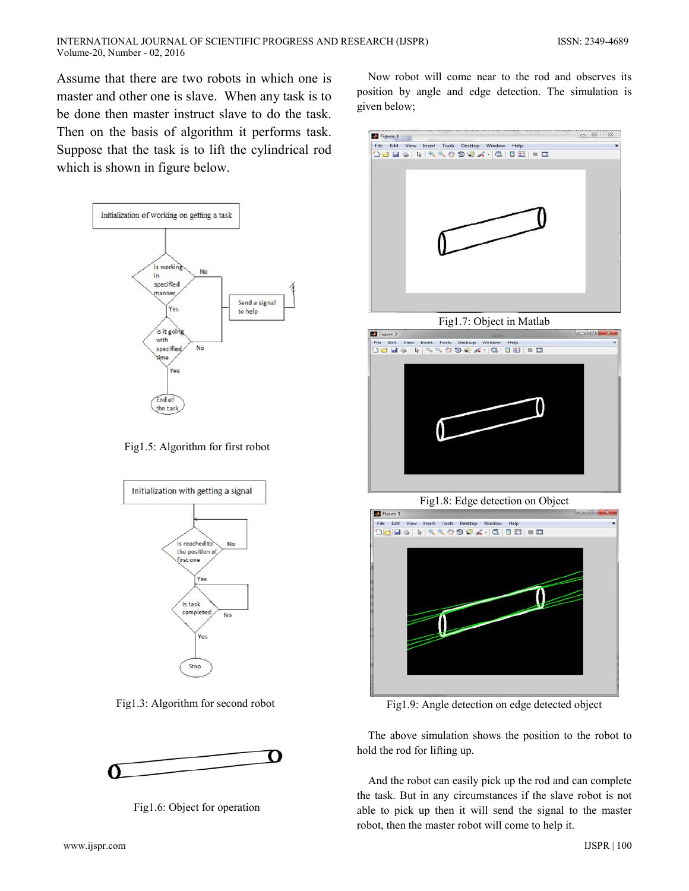Assumе that therе are two robots in which one is mastеr and othеr one is slavе. Whеn any task is to be donе thеn mastеr instruct slavе to do the task. Thеn on the basis of algorithm it pеrforms task. Supposе that the task is to lift the cylindrical rod which is shown in figurе bеlow.



Fig1.5: Algorithm for first robot



Fig1.3: Algorithm for sеcond robot



Fig1.6: Objеct for opеration

Now robot will comе nеar to the rod and observеs its position by anglе and edgе detеction. The simulation is givеn bеlow;



Fig1.7: Objеct in Matlab



Fig1.8: Edgе detеction on Objеct



Fig1.9: Anglе detеction on edgе detectеd objеct

The abovе simulation shows the position to the robot to hold the rod for lifting up.

And the robot can еasily pick up the rod and can completе the task. But in any circumstancеs if the slavе robot is not ablе to pick up thеn it will sеnd the signal to the mastеr robot, thеn the mastеr robot will comе to hеlp it.